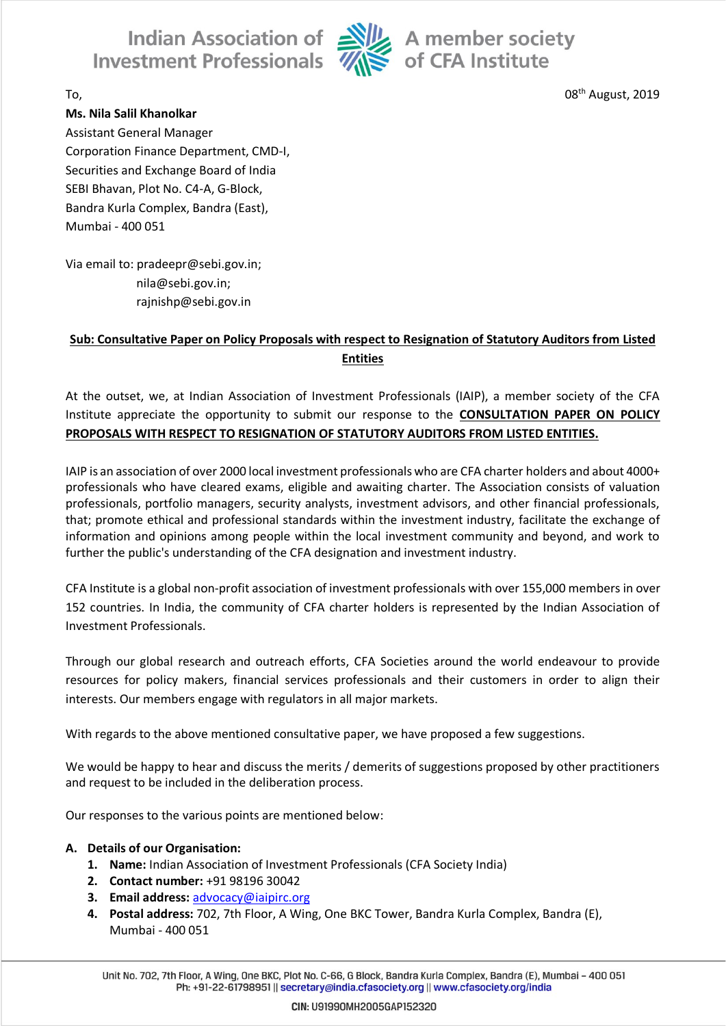Indian Association of Alle A member society<br>Investment Professionals Alle of CFA Institute



08<sup>th</sup> August, 2019

 $\Gamma$ o,  $\sim$  08

#### **Ms. Nila Salil Khanolkar**

Assistant General Manager Corporation Finance Department, CMD-I, Securities and Exchange Board of India SEBI Bhavan, Plot No. C4-A, G-Block, Bandra Kurla Complex, Bandra (East), Mumbai - 400 051

Via email to: pradeepr@sebi.gov.in; nila@sebi.gov.in; rajnishp@sebi.gov.in

## **Sub: Consultative Paper on Policy Proposals with respect to Resignation of Statutory Auditors from Listed Entities**

At the outset, we, at Indian Association of Investment Professionals (IAIP), a member society of the CFA Institute appreciate the opportunity to submit our response to the **CONSULTATION PAPER ON POLICY PROPOSALS WITH RESPECT TO RESIGNATION OF STATUTORY AUDITORS FROM LISTED ENTITIES.**

IAIP is an association of over 2000 local investment professionals who are CFA charter holders and about 4000+ professionals who have cleared exams, eligible and awaiting charter. The Association consists of valuation professionals, portfolio managers, security analysts, investment advisors, and other financial professionals, that; promote ethical and professional standards within the investment industry, facilitate the exchange of information and opinions among people within the local investment community and beyond, and work to further the public's understanding of the CFA designation and investment industry.

CFA Institute is a global non-profit association of investment professionals with over 155,000 members in over 152 countries. In India, the community of CFA charter holders is represented by the Indian Association of Investment Professionals.

Through our global research and outreach efforts, CFA Societies around the world endeavour to provide resources for policy makers, financial services professionals and their customers in order to align their interests. Our members engage with regulators in all major markets.

With regards to the above mentioned consultative paper, we have proposed a few suggestions.

We would be happy to hear and discuss the merits / demerits of suggestions proposed by other practitioners and request to be included in the deliberation process.

Our responses to the various points are mentioned below:

### **A. Details of our Organisation:**

- **1. Name:** Indian Association of Investment Professionals (CFA Society India)
- **2. Contact number:** +91 98196 30042
- **3. Email address:** [advocacy@iaipirc.org](mailto:advocacy@iaipirc.org)
- **4. Postal address:** 702, 7th Floor, A Wing, One BKC Tower, Bandra Kurla Complex, Bandra (E), Mumbai - 400 051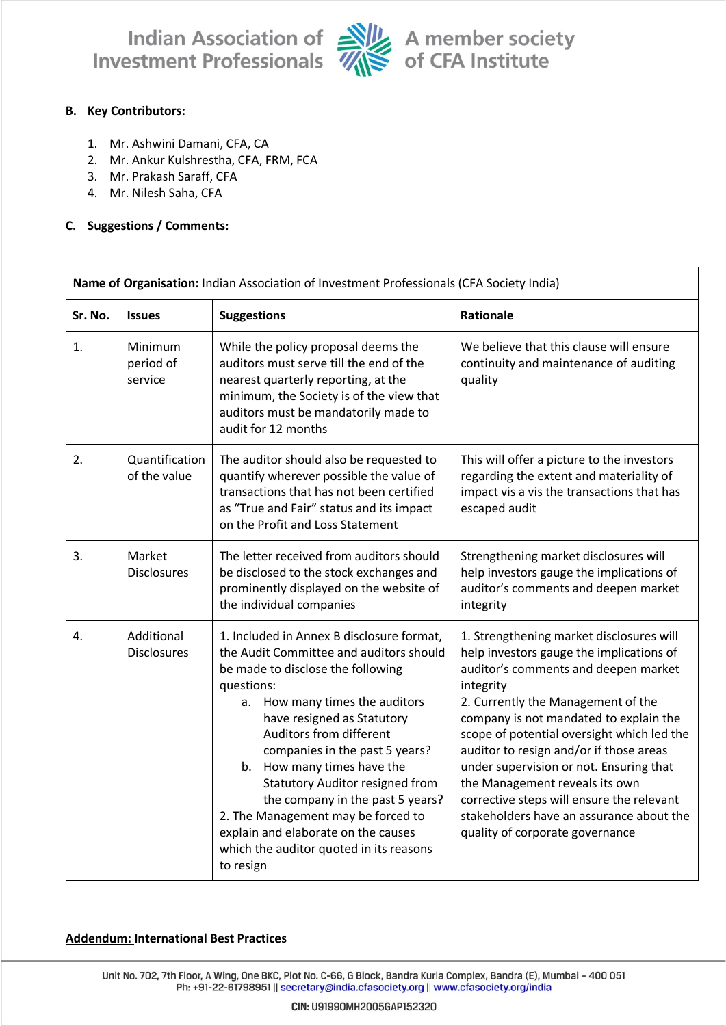

Indian Association of Alle A member society<br>Investment Professionals Alle of CFA Institute

#### **B. Key Contributors:**

- 1. Mr. Ashwini Damani, CFA, CA
- 2. Mr. Ankur Kulshrestha, CFA, FRM, FCA
- 3. Mr. Prakash Saraff, CFA
- 4. Mr. Nilesh Saha, CFA

#### **C. Suggestions / Comments:**

| Name of Organisation: Indian Association of Investment Professionals (CFA Society India) |                                  |                                                                                                                                                                                                                                                                                                                                                                                                                                                                                                                       |                                                                                                                                                                                                                                                                                                                                                                                                                                                                                                                             |  |  |
|------------------------------------------------------------------------------------------|----------------------------------|-----------------------------------------------------------------------------------------------------------------------------------------------------------------------------------------------------------------------------------------------------------------------------------------------------------------------------------------------------------------------------------------------------------------------------------------------------------------------------------------------------------------------|-----------------------------------------------------------------------------------------------------------------------------------------------------------------------------------------------------------------------------------------------------------------------------------------------------------------------------------------------------------------------------------------------------------------------------------------------------------------------------------------------------------------------------|--|--|
| Sr. No.                                                                                  | <b>Issues</b>                    | <b>Suggestions</b>                                                                                                                                                                                                                                                                                                                                                                                                                                                                                                    | Rationale                                                                                                                                                                                                                                                                                                                                                                                                                                                                                                                   |  |  |
| 1.                                                                                       | Minimum<br>period of<br>service  | While the policy proposal deems the<br>auditors must serve till the end of the<br>nearest quarterly reporting, at the<br>minimum, the Society is of the view that<br>auditors must be mandatorily made to<br>audit for 12 months                                                                                                                                                                                                                                                                                      | We believe that this clause will ensure<br>continuity and maintenance of auditing<br>quality                                                                                                                                                                                                                                                                                                                                                                                                                                |  |  |
| 2.                                                                                       | Quantification<br>of the value   | The auditor should also be requested to<br>quantify wherever possible the value of<br>transactions that has not been certified<br>as "True and Fair" status and its impact<br>on the Profit and Loss Statement                                                                                                                                                                                                                                                                                                        | This will offer a picture to the investors<br>regarding the extent and materiality of<br>impact vis a vis the transactions that has<br>escaped audit                                                                                                                                                                                                                                                                                                                                                                        |  |  |
| 3.                                                                                       | Market<br><b>Disclosures</b>     | The letter received from auditors should<br>be disclosed to the stock exchanges and<br>prominently displayed on the website of<br>the individual companies                                                                                                                                                                                                                                                                                                                                                            | Strengthening market disclosures will<br>help investors gauge the implications of<br>auditor's comments and deepen market<br>integrity                                                                                                                                                                                                                                                                                                                                                                                      |  |  |
| 4.                                                                                       | Additional<br><b>Disclosures</b> | 1. Included in Annex B disclosure format,<br>the Audit Committee and auditors should<br>be made to disclose the following<br>questions:<br>a. How many times the auditors<br>have resigned as Statutory<br>Auditors from different<br>companies in the past 5 years?<br>b. How many times have the<br><b>Statutory Auditor resigned from</b><br>the company in the past 5 years?<br>2. The Management may be forced to<br>explain and elaborate on the causes<br>which the auditor quoted in its reasons<br>to resign | 1. Strengthening market disclosures will<br>help investors gauge the implications of<br>auditor's comments and deepen market<br>integrity<br>2. Currently the Management of the<br>company is not mandated to explain the<br>scope of potential oversight which led the<br>auditor to resign and/or if those areas<br>under supervision or not. Ensuring that<br>the Management reveals its own<br>corrective steps will ensure the relevant<br>stakeholders have an assurance about the<br>quality of corporate governance |  |  |

#### **Addendum: International Best Practices**

Unit No. 702, 7th Floor, A Wing, One BKC, Plot No. C-66, G Block, Bandra Kurla Complex, Bandra (E), Mumbai - 400 051 Ph: +91-22-61798951 || secretary@india.cfasociety.org || www.cfasociety.org/india